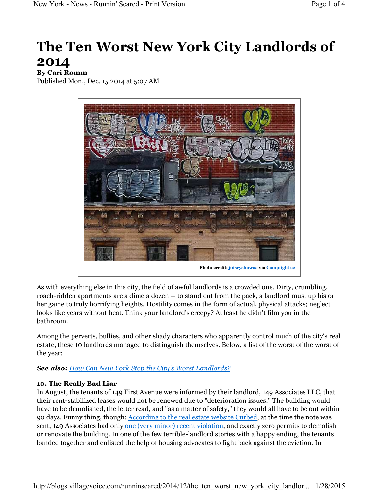# **The Ten Worst New York City Landlords of 2014**

## **By Cari Romm**

Published Mon., Dec. 15 2014 at 5:07 AM



As with everything else in this city, the field of awful landlords is a crowded one. Dirty, crumbling, roach-ridden apartments are a dime a dozen -- to stand out from the pack, a landlord must up his or her game to truly horrifying heights. Hostility comes in the form of actual, physical attacks; neglect looks like years without heat. Think your landlord's creepy? At least he didn't film you in the bathroom.

Among the perverts, bullies, and other shady characters who apparently control much of the city's real estate, these 10 landlords managed to distinguish themselves. Below, a list of the worst of the worst of the year:

## *See also: How Can New York Stop the City's Worst Landlords?*

## **10. The Really Bad Liar**

In August, the tenants of 149 First Avenue were informed by their landlord, 149 Associates LLC, that their rent-stabilized leases would not be renewed due to "deterioration issues." The building would have to be demolished, the letter read, and "as a matter of safety," they would all have to be out within 90 days. Funny thing, though: According to the real estate website Curbed, at the time the note was sent, 149 Associates had only one (very minor) recent violation, and exactly zero permits to demolish or renovate the building. In one of the few terrible-landlord stories with a happy ending, the tenants banded together and enlisted the help of housing advocates to fight back against the eviction. In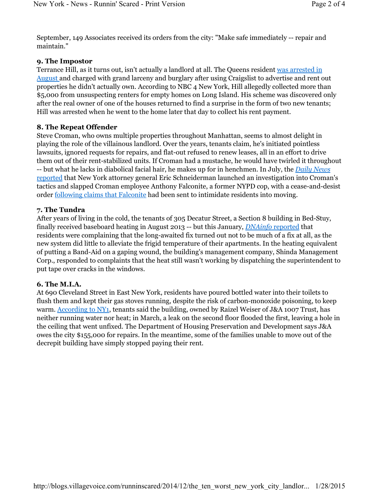September, 149 Associates received its orders from the city: "Make safe immediately -- repair and maintain."

## **9. The Impostor**

Terrance Hill, as it turns out, isn't actually a landlord at all. The Queens resident was arrested in August and charged with grand larceny and burglary after using Craigslist to advertise and rent out properties he didn't actually own. According to NBC 4 New York, Hill allegedly collected more than \$5,000 from unsuspecting renters for empty homes on Long Island. His scheme was discovered only after the real owner of one of the houses returned to find a surprise in the form of two new tenants; Hill was arrested when he went to the home later that day to collect his rent payment.

## **8. The Repeat Offender**

Steve Croman, who owns multiple properties throughout Manhattan, seems to almost delight in playing the role of the villainous landlord. Over the years, tenants claim, he's initiated pointless lawsuits, ignored requests for repairs, and flat-out refused to renew leases, all in an effort to drive them out of their rent-stabilized units. If Croman had a mustache, he would have twirled it throughout -- but what he lacks in diabolical facial hair, he makes up for in henchmen. In July, the *Daily News* reported that New York attorney general Eric Schneiderman launched an investigation into Croman's tactics and slapped Croman employee Anthony Falconite, a former NYPD cop, with a cease-and-desist order following claims that Falconite had been sent to intimidate residents into moving.

## **7. The Tundra**

After years of living in the cold, the tenants of 305 Decatur Street, a Section 8 building in Bed-Stuy, finally received baseboard heating in August 2013 -- but this January, *DNAinfo* reported that residents were complaining that the long-awaited fix turned out not to be much of a fix at all, as the new system did little to alleviate the frigid temperature of their apartments. In the heating equivalent of putting a Band-Aid on a gaping wound, the building's management company, Shinda Management Corp., responded to complaints that the heat still wasn't working by dispatching the superintendent to put tape over cracks in the windows.

## **6. The M.I.A.**

At 690 Cleveland Street in East New York, residents have poured bottled water into their toilets to flush them and kept their gas stoves running, despite the risk of carbon-monoxide poisoning, to keep warm. According to NY1, tenants said the building, owned by Raizel Weiser of J&A 1007 Trust, has neither running water nor heat; in March, a leak on the second floor flooded the first, leaving a hole in the ceiling that went unfixed. The Department of Housing Preservation and Development says J&A owes the city \$155,000 for repairs. In the meantime, some of the families unable to move out of the decrepit building have simply stopped paying their rent.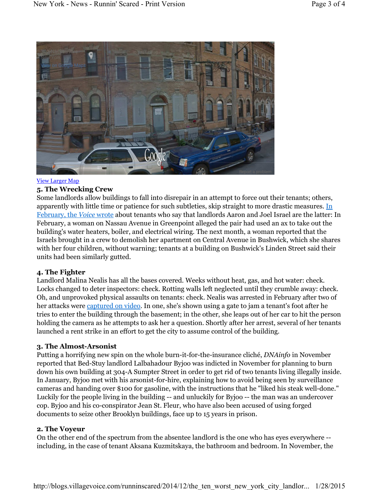

#### View Larger Map

## **5. The Wrecking Crew**

Some landlords allow buildings to fall into disrepair in an attempt to force out their tenants; others, apparently with little time or patience for such subtleties, skip straight to more drastic measures. In February, the *Voice* wrote about tenants who say that landlords Aaron and Joel Israel are the latter: In February, a woman on Nassau Avenue in Greenpoint alleged the pair had used an ax to take out the building's water heaters, boiler, and electrical wiring. The next month, a woman reported that the Israels brought in a crew to demolish her apartment on Central Avenue in Bushwick, which she shares with her four children, without warning; tenants at a building on Bushwick's Linden Street said their units had been similarly gutted.

## **4. The Fighter**

Landlord Malina Nealis has all the bases covered. Weeks without heat, gas, and hot water: check. Locks changed to deter inspectors: check. Rotting walls left neglected until they crumble away: check. Oh, and unprovoked physical assaults on tenants: check. Nealis was arrested in February after two of her attacks were captured on video. In one, she's shown using a gate to jam a tenant's foot after he tries to enter the building through the basement; in the other, she leaps out of her car to hit the person holding the camera as he attempts to ask her a question. Shortly after her arrest, several of her tenants launched a rent strike in an effort to get the city to assume control of the building.

## **3. The Almost-Arsonist**

Putting a horrifying new spin on the whole burn-it-for-the-insurance cliché, *DNAinfo* in November reported that Bed-Stuy landlord Lalbahadour Byjoo was indicted in November for planning to burn down his own building at 304-A Sumpter Street in order to get rid of two tenants living illegally inside. In January, Byjoo met with his arsonist-for-hire, explaining how to avoid being seen by surveillance cameras and handing over \$100 for gasoline, with the instructions that he "liked his steak well-done." Luckily for the people living in the building -- and unluckily for Byjoo -- the man was an undercover cop. Byjoo and his co-conspirator Jean St. Fleur, who have also been accused of using forged documents to seize other Brooklyn buildings, face up to 15 years in prison.

## **2. The Voyeur**

On the other end of the spectrum from the absentee landlord is the one who has eyes everywhere - including, in the case of tenant Aksana Kuzmitskaya, the bathroom and bedroom. In November, the